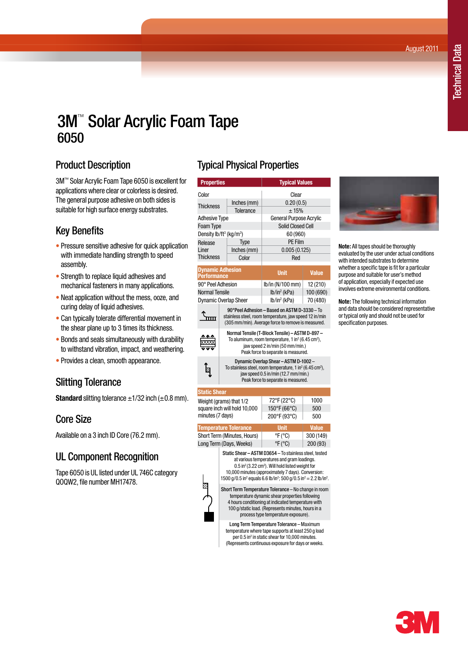August 2011

# 3M™ Solar Acrylic Foam Tape 6050

#### Product Description

3M™ Solar Acrylic Foam Tape 6050 is excellent for applications where clear or colorless is desired. The general purpose adhesive on both sides is suitable for high surface energy substrates.

## Key Benefits

- Pressure sensitive adhesive for quick application with immediate handling strength to speed assembly.
- Strength to replace liquid adhesives and mechanical fasteners in many applications.
- Neat application without the mess, ooze, and curing delay of liquid adhesives.
- Can typically tolerate differential movement in the shear plane up to 3 times its thickness.
- Bonds and seals simultaneously with durability to withstand vibration, impact, and weathering.
- Provides a clean, smooth appearance.

## Slitting Tolerance

**Standard** slitting tolerance  $\pm$ 1/32 inch ( $\pm$ 0.8 mm).

#### Core Size

Available on a 3 inch ID Core (76.2 mm).

## UL Component Recognition

Tape 6050 is UL listed under UL 746C category QOQW2, file number MH17478.

## **Typical Physical Properties**

| J r                                             |                                                                                                                                                                                                         |                                |              |  |
|-------------------------------------------------|---------------------------------------------------------------------------------------------------------------------------------------------------------------------------------------------------------|--------------------------------|--------------|--|
| <b>Properties</b>                               |                                                                                                                                                                                                         | <b>Typical Values</b>          |              |  |
| Color                                           |                                                                                                                                                                                                         | Clear                          |              |  |
| <b>Thickness</b>                                | Inches (mm)                                                                                                                                                                                             | 0.20(0.5)                      |              |  |
|                                                 | <b>Tolerance</b>                                                                                                                                                                                        | ± 15%                          |              |  |
| <b>Adhesive Type</b>                            |                                                                                                                                                                                                         | <b>General Purpose Acrylic</b> |              |  |
| Foam Type                                       |                                                                                                                                                                                                         | <b>Solid Closed Cell</b>       |              |  |
| Density lb/ft <sup>3</sup> (kg/m <sup>3</sup> ) |                                                                                                                                                                                                         | 60 (960)                       |              |  |
| Release                                         | Type                                                                                                                                                                                                    | <b>PE Film</b>                 |              |  |
| Liner                                           | Inches (mm)                                                                                                                                                                                             | 0.005(0.125)                   |              |  |
| <b>Thickness</b>                                | Color                                                                                                                                                                                                   | Red                            |              |  |
| <b>Dynamic Adhesion</b><br><b>Performance</b>   |                                                                                                                                                                                                         | <b>Unit</b>                    | <b>Value</b> |  |
| 90° Peel Adhesion                               |                                                                                                                                                                                                         | lb/in (N/100 mm)               | 12 (210)     |  |
| <b>Normal Tensile</b>                           |                                                                                                                                                                                                         | $lb/in^2$ (kPa)                | 100 (690)    |  |
|                                                 | <b>Dynamic Overlap Sheer</b>                                                                                                                                                                            | $lb/in^2$ (kPa)                | 70 (480)     |  |
|                                                 | 90°Peel Adhesion - Based on ASTM D-3330 - To<br>stainless steel, room temperature, jaw speed 12 in/min<br>(305 mm/min). Average force to remove is measured.                                            |                                |              |  |
|                                                 | Normal Tensile (T-Block Tensile) - ASTM D-897 -<br>To aluminum, room temperature, 1 in <sup>2</sup> (6.45 cm <sup>2</sup> ),<br>jaw speed 2 in/min (50 mm/min.)<br>Peak force to separate is measured.  |                                |              |  |
|                                                 | Dynamic Overlap Shear - ASTM D-1002 -<br>To stainless steel, room temperature, 1 in <sup>2</sup> (6.45 cm <sup>2</sup> ),<br>jaw speed 0.5 in/min (12.7 mm/min.)<br>Peak force to separate is measured. |                                |              |  |
| <b>Static Shear</b>                             |                                                                                                                                                                                                         |                                |              |  |
|                                                 | Weight (grams) that 1/2                                                                                                                                                                                 | 72°F (22°C)                    | 1000         |  |
|                                                 | square inch will hold 10,000                                                                                                                                                                            | 150°F (66°C)                   | 500          |  |



**Note:** All tapes should be thoroughly evaluated by the user under actual conditions with intended substrates to determine whether a specific tape is fit for a particular purpose and suitable for user's method of application, especially if expected use involves extreme environmental conditions.

**Note:** The following technical information and data should be considered representative or typical only and should not be used for specification purposes.

| <b>Temperature Tolerance</b>                                                                                                                                                                                                                              | <b>Unit</b>                                                                                                                                                                                                                            | <b>Value</b> |
|-----------------------------------------------------------------------------------------------------------------------------------------------------------------------------------------------------------------------------------------------------------|----------------------------------------------------------------------------------------------------------------------------------------------------------------------------------------------------------------------------------------|--------------|
| Short Term (Minutes, Hours)                                                                                                                                                                                                                               | $\mathrm{P}F(\mathrm{C})$                                                                                                                                                                                                              | 300 (149)    |
| Long Term (Days, Weeks)                                                                                                                                                                                                                                   | $\degree$ F( $\degree$ C)                                                                                                                                                                                                              | 200 (93)     |
| 1500 g/0.5 in <sup>2</sup> equals 6.6 lb/in <sup>2</sup> ; 500 g/0.5 in <sup>2</sup> = 2.2 lb/in <sup>2</sup> .                                                                                                                                           | Static Shear - ASTM D3654 - To stainless steel, tested<br>at various temperatures and gram loadings.<br>0.5 in <sup>2</sup> (3.22 cm <sup>2</sup> ). Will hold listed weight for<br>10,000 minutes (approximately 7 days). Conversion: |              |
| Short Term Temperature Tolerance - No change in room<br>temperature dynamic shear properties following<br>4 hours conditioning at indicated temperature with<br>100 g/static load. (Represents minutes, hours in a<br>process type temperature exposure). |                                                                                                                                                                                                                                        |              |
|                                                                                                                                                                                                                                                           | Long Term Temperature Tolerance - Maximum                                                                                                                                                                                              |              |

 $200^{\circ}F(93^{\circ}C)$  500

square inch will hold 10,000 minutes (7 days)

temperature where tape supports at least 250 g load per 0.5 in<sup>2</sup> in static shear for 10,000 minutes. (Represents continuous exposure for days or weeks.